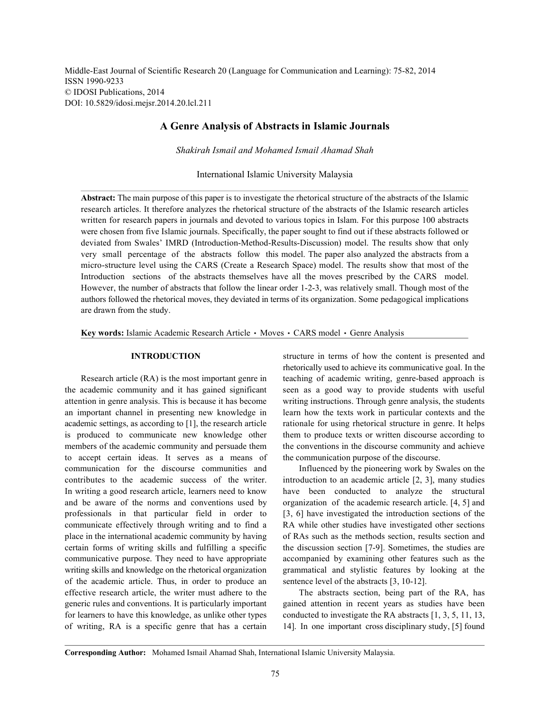Middle-East Journal of Scientific Research 20 (Language for Communication and Learning): 75-82, 2014 ISSN 1990-9233 © IDOSI Publications, 2014 DOI: 10.5829/idosi.mejsr.2014.20.lcl.211

## **A Genre Analysis of Abstracts in Islamic Journals**

*Shakirah Ismail and Mohamed Ismail Ahamad Shah*

International Islamic University Malaysia

**Abstract:** The main purpose of this paper is to investigate the rhetorical structure of the abstracts of the Islamic research articles. It therefore analyzes the rhetorical structure of the abstracts of the Islamic research articles written for research papers in journals and devoted to various topics in Islam. For this purpose 100 abstracts were chosen from five Islamic journals. Specifically, the paper sought to find out if these abstracts followed or deviated from Swales' IMRD (Introduction-Method-Results-Discussion) model. The results show that only very small percentage of the abstracts follow this model. The paper also analyzed the abstracts from a micro-structure level using the CARS (Create a Research Space) model. The results show that most of the Introduction sections of the abstracts themselves have all the moves prescribed by the CARS model. However, the number of abstracts that follow the linear order 1-2-3, was relatively small. Though most of the authors followed the rhetorical moves, they deviated in terms of its organization. Some pedagogical implications are drawn from the study.

Key words: Islamic Academic Research Article · Moves · CARS model · Genre Analysis

the academic community and it has gained significant seen as a good way to provide students with useful attention in genre analysis. This is because it has become writing instructions. Through genre analysis, the students an important channel in presenting new knowledge in learn how the texts work in particular contexts and the academic settings, as according to [1], the research article rationale for using rhetorical structure in genre. It helps is produced to communicate new knowledge other them to produce texts or written discourse according to members of the academic community and persuade them the conventions in the discourse community and achieve to accept certain ideas. It serves as a means of the communication purpose of the discourse. communication for the discourse communities and Influenced by the pioneering work by Swales on the contributes to the academic success of the writer. introduction to an academic article [2, 3], many studies In writing a good research article, learners need to know have been conducted to analyze the structural and be aware of the norms and conventions used by organization of the academic research article. [4, 5] and professionals in that particular field in order to [3, 6] have investigated the introduction sections of the communicate effectively through writing and to find a RA while other studies have investigated other sections place in the international academic community by having of RAs such as the methods section, results section and certain forms of writing skills and fulfilling a specific the discussion section [7-9]. Sometimes, the studies are communicative purpose. They need to have appropriate accompanied by examining other features such as the writing skills and knowledge on the rhetorical organization grammatical and stylistic features by looking at the of the academic article. Thus, in order to produce an sentence level of the abstracts [3, 10-12]. effective research article, the writer must adhere to the The abstracts section, being part of the RA, has generic rules and conventions. It is particularly important gained attention in recent years as studies have been for learners to have this knowledge, as unlike other types conducted to investigate the RA abstracts [1, 3, 5, 11, 13, of writing, RA is a specific genre that has a certain 14]. In one important cross disciplinary study, [5] found

**INTRODUCTION** structure in terms of how the content is presented and Research article (RA) is the most important genre in teaching of academic writing, genre-based approach is rhetorically used to achieve its communicative goal. In the

**Corresponding Author:** Mohamed Ismail Ahamad Shah, International Islamic University Malaysia.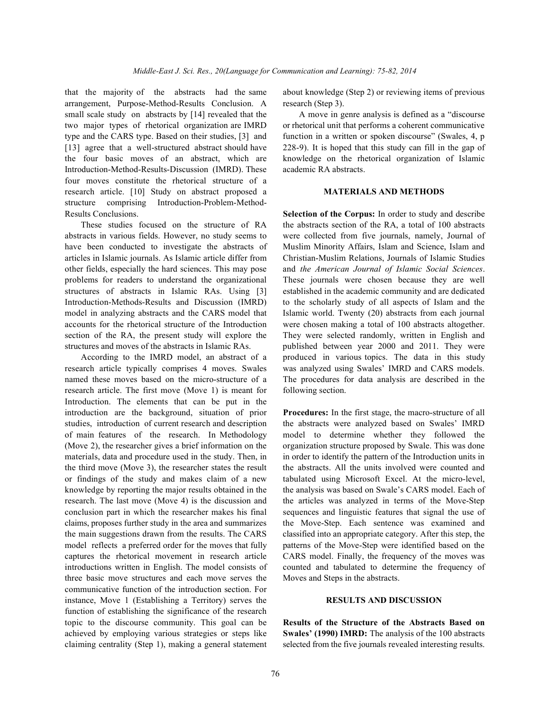arrangement, Purpose-Method-Results Conclusion. A research (Step 3). small scale study on abstracts by [14] revealed that the A move in genre analysis is defined as a "discourse two major types of rhetorical organization are IMRD or rhetorical unit that performs a coherent communicative type and the CARS type. Based on their studies, [3] and function in a written or spoken discourse" (Swales, 4, p [13] agree that a well-structured abstract should have 228-9). It is hoped that this study can fill in the gap of the four basic moves of an abstract, which are knowledge on the rhetorical organization of Islamic Introduction-Method-Results-Discussion (IMRD). These academic RA abstracts. four moves constitute the rhetorical structure of a research article. [10] Study on abstract proposed a **MATERIALS AND METHODS** structure comprising Introduction-Problem-Method-Results Conclusions. **Selection of the Corpus:** In order to study and describe

abstracts in various fields. However, no study seems to were collected from five journals, namely, Journal of have been conducted to investigate the abstracts of Muslim Minority Affairs, Islam and Science, Islam and articles in Islamic journals. As Islamic article differ from Christian-Muslim Relations, Journals of Islamic Studies other fields, especially the hard sciences. This may pose and *the American Journal of Islamic Social Sciences*. problems for readers to understand the organizational These journals were chosen because they are well structures of abstracts in Islamic RAs. Using [3] established in the academic community and are dedicated Introduction-Methods-Results and Discussion (IMRD) to the scholarly study of all aspects of Islam and the model in analyzing abstracts and the CARS model that Islamic world. Twenty (20) abstracts from each journal accounts for the rhetorical structure of the Introduction were chosen making a total of 100 abstracts altogether. section of the RA, the present study will explore the They were selected randomly, written in English and structures and moves of the abstracts in Islamic RAs. published between year 2000 and 2011. They were

research article typically comprises 4 moves. Swales was analyzed using Swales' IMRD and CARS models. named these moves based on the micro-structure of a The procedures for data analysis are described in the research article. The first move (Move 1) is meant for following section. Introduction. The elements that can be put in the introduction are the background, situation of prior **Procedures:** In the first stage, the macro-structure of all studies, introduction of current research and description the abstracts were analyzed based on Swales' IMRD of main features of the research. In Methodology model to determine whether they followed the (Move 2), the researcher gives a brief information on the organization structure proposed by Swale. This was done materials, data and procedure used in the study. Then, in in order to identify the pattern of the Introduction units in the third move (Move 3), the researcher states the result the abstracts. All the units involved were counted and or findings of the study and makes claim of a new tabulated using Microsoft Excel. At the micro-level, knowledge by reporting the major results obtained in the the analysis was based on Swale's CARS model. Each of research. The last move (Move 4) is the discussion and the articles was analyzed in terms of the Move-Step conclusion part in which the researcher makes his final sequences and linguistic features that signal the use of claims, proposes further study in the area and summarizes the Move-Step. Each sentence was examined and the main suggestions drawn from the results. The CARS classified into an appropriate category. After this step, the model reflects a preferred order for the moves that fully patterns of the Move-Step were identified based on the captures the rhetorical movement in research article CARS model. Finally, the frequency of the moves was introductions written in English. The model consists of counted and tabulated to determine the frequency of three basic move structures and each move serves the Moves and Steps in the abstracts. communicative function of the introduction section. For instance, Move 1 (Establishing a Territory) serves the **RESULTS AND DISCUSSION** function of establishing the significance of the research topic to the discourse community. This goal can be **Results of the Structure of the Abstracts Based on** achieved by employing various strategies or steps like **Swales' (1990) IMRD:** The analysis of the 100 abstracts claiming centrality (Step 1), making a general statement selected from the five journals revealed interesting results.

that the majority of the abstracts had the same about knowledge (Step 2) or reviewing items of previous

These studies focused on the structure of RA the abstracts section of the RA, a total of 100 abstracts According to the IMRD model, an abstract of a produced in various topics. The data in this study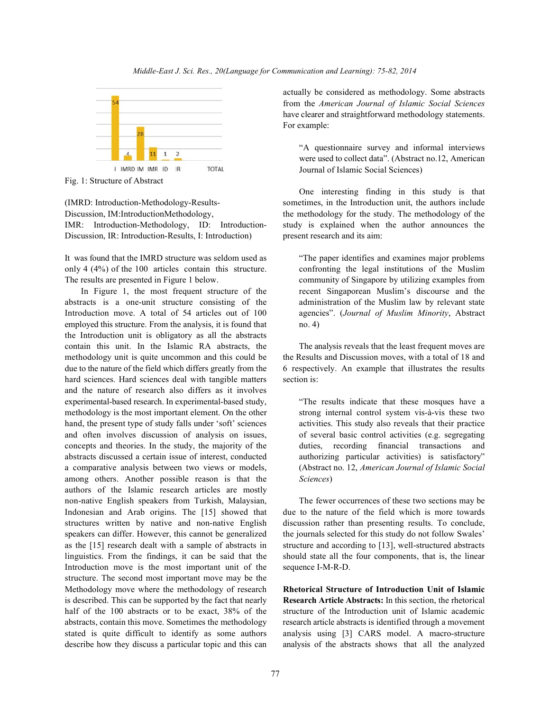

Fig. 1: Structure of Abstract

Discussion, IM:IntroductionMethodology, the methodology for the study. The methodology of the IMR: Introduction-Methodology, ID: Introduction- study is explained when the author announces the Discussion, IR: Introduction-Results, I: Introduction) present research and its aim:

It was found that the IMRD structure was seldom used as "The paper identifies and examines major problems only 4 (4%) of the 100 articles contain this structure. confronting the legal institutions of the Muslim The results are presented in Figure 1 below. community of Singapore by utilizing examples from

abstracts is a one-unit structure consisting of the administration of the Muslim law by relevant state Introduction move. A total of 54 articles out of 100 agencies". (*Journal of Muslim Minority*, Abstract employed this structure. From the analysis, it is found that no. 4) the Introduction unit is obligatory as all the abstracts contain this unit. In the Islamic RA abstracts, the The analysis reveals that the least frequent moves are methodology unit is quite uncommon and this could be the Results and Discussion moves, with a total of 18 and due to the nature of the field which differs greatly from the 6 respectively. An example that illustrates the results hard sciences. Hard sciences deal with tangible matters section is: and the nature of research also differs as it involves experimental-based research. In experimental-based study, "The results indicate that these mosques have a methodology is the most important element. On the other strong internal control system vis-à-vis these two hand, the present type of study falls under 'soft' sciences activities. This study also reveals that their practice and often involves discussion of analysis on issues, of several basic control activities (e.g. segregating concepts and theories. In the study, the majority of the duties, recording financial transactions and abstracts discussed a certain issue of interest, conducted authorizing particular activities) is satisfactory" a comparative analysis between two views or models, (Abstract no. 12, *American Journal of Islamic Social* among others. Another possible reason is that the *Sciences*) authors of the Islamic research articles are mostly non-native English speakers from Turkish, Malaysian, The fewer occurrences of these two sections may be Indonesian and Arab origins. The [15] showed that due to the nature of the field which is more towards structures written by native and non-native English discussion rather than presenting results. To conclude, speakers can differ. However, this cannot be generalized the journals selected for this study do not follow Swales' as the [15] research dealt with a sample of abstracts in structure and according to [13], well-structured abstracts linguistics. From the findings, it can be said that the should state all the four components, that is, the linear Introduction move is the most important unit of the sequence I-M-R-D. structure. The second most important move may be the Methodology move where the methodology of research **Rhetorical Structure of Introduction Unit of Islamic** is described. This can be supported by the fact that nearly **Research Article Abstracts:** In this section, the rhetorical half of the 100 abstracts or to be exact, 38% of the structure of the Introduction unit of Islamic academic abstracts, contain this move. Sometimes the methodology research article abstracts is identified through a movement stated is quite difficult to identify as some authors analysis using [3] CARS model. A macro-structure describe how they discuss a particular topic and this can analysis of the abstracts shows that all the analyzed

actually be considered as methodology. Some abstracts from the *American Journal of Islamic Social Sciences* have clearer and straightforward methodology statements. For example:

"A questionnaire survey and informal interviews were used to collect data". (Abstract no.12, American Journal of Islamic Social Sciences)

(IMRD: Introduction-Methodology-Results- sometimes, in the Introduction unit, the authors include One interesting finding in this study is that

In Figure 1, the most frequent structure of the recent Singaporean Muslim's discourse and the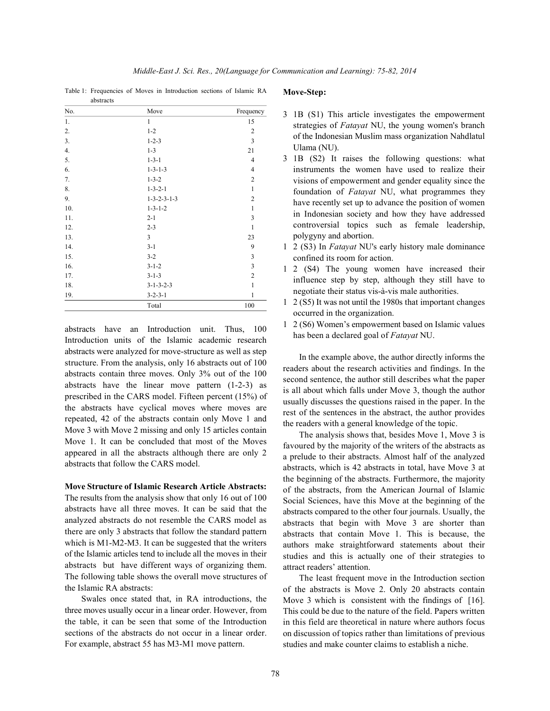Table 1: Frequencies of Moves in Introduction sections of Islamic RA abstracts

| No. | Move                    | Frequency               |
|-----|-------------------------|-------------------------|
| 1.  | $\mathbf{1}$            | 15                      |
| 2.  | $1 - 2$                 | $\overline{c}$          |
| 3.  | $1 - 2 - 3$             | $\overline{\mathbf{3}}$ |
| 4.  | $1 - 3$                 | 21                      |
| 5.  | $1 - 3 - 1$             | 4                       |
| 6.  | $1 - 3 - 1 - 3$         | $\overline{4}$          |
| 7.  | $1 - 3 - 2$             | $\overline{2}$          |
| 8.  | $1 - 3 - 2 - 1$         | $\mathbf{1}$            |
| 9.  | $1 - 3 - 2 - 3 - 1 - 3$ | $\overline{2}$          |
| 10. | $1 - 3 - 1 - 2$         | $\mathbf{1}$            |
| 11. | $2 - 1$                 | 3                       |
| 12. | $2 - 3$                 | $\mathbf{1}$            |
| 13. | 3                       | 23                      |
| 14. | $3 - 1$                 | 9                       |
| 15. | $3 - 2$                 | $\mathfrak{Z}$          |
| 16. | $3 - 1 - 2$             | $\overline{\mathbf{3}}$ |
| 17. | $3 - 1 - 3$             | $\overline{c}$          |
| 18. | $3 - 1 - 3 - 2 - 3$     | $\mathbf{1}$            |
| 19. | $3 - 2 - 3 - 1$         | $\mathbf{1}$            |
|     | Total                   | 100                     |

abstracts have an Introduction unit. Thus, 100 Introduction units of the Islamic academic research abstracts were analyzed for move-structure as well as step structure. From the analysis, only 16 abstracts out of 100 abstracts contain three moves. Only 3% out of the 100 abstracts have the linear move pattern (1-2-3) as prescribed in the CARS model. Fifteen percent (15%) of the abstracts have cyclical moves where moves are repeated, 42 of the abstracts contain only Move 1 and Move 3 with Move 2 missing and only 15 articles contain Move 1. It can be concluded that most of the Moves appeared in all the abstracts although there are only 2 abstracts that follow the CARS model.

# **Move Structure of Islamic Research Article Abstracts:**

The results from the analysis show that only 16 out of 100 abstracts have all three moves. It can be said that the analyzed abstracts do not resemble the CARS model as there are only 3 abstracts that follow the standard pattern which is M1-M2-M3. It can be suggested that the writers of the Islamic articles tend to include all the moves in their abstracts but have different ways of organizing them. The following table shows the overall move structures of the Islamic RA abstracts:

Swales once stated that, in RA introductions, the three moves usually occur in a linear order. However, from the table, it can be seen that some of the Introduction sections of the abstracts do not occur in a linear order. For example, abstract 55 has M3-M1 move pattern.

## **Move-Step:**

- 3 1B (S1) This article investigates the empowerment strategies of *Fatayat* NU, the young women's branch of the Indonesian Muslim mass organization Nahdlatul Ulama (NU).
- 3 1B (S2) It raises the following questions: what instruments the women have used to realize their visions of empowerment and gender equality since the foundation of *Fatayat* NU, what programmes they have recently set up to advance the position of women in Indonesian society and how they have addressed controversial topics such as female leadership, polygyny and abortion.
- 1 2 (S3) In *Fatayat* NU's early history male dominance confined its room for action.
- 1 2 (S4) The young women have increased their influence step by step, although they still have to negotiate their status vis-à-vis male authorities.
- 1 2 (S5) It was not until the 1980s that important changes occurred in the organization.
- 1 2 (S6) Women's empowerment based on Islamic values has been a declared goal of *Fatayat* NU.

In the example above, the author directly informs the readers about the research activities and findings. In the second sentence, the author still describes what the paper is all about which falls under Move 3, though the author usually discusses the questions raised in the paper. In the rest of the sentences in the abstract, the author provides the readers with a general knowledge of the topic.

The analysis shows that, besides Move 1, Move 3 is favoured by the majority of the writers of the abstracts as a prelude to their abstracts. Almost half of the analyzed abstracts, which is 42 abstracts in total, have Move 3 at the beginning of the abstracts. Furthermore, the majority of the abstracts, from the American Journal of Islamic Social Sciences, have this Move at the beginning of the abstracts compared to the other four journals. Usually, the abstracts that begin with Move 3 are shorter than abstracts that contain Move 1. This is because, the authors make straightforward statements about their studies and this is actually one of their strategies to attract readers' attention.

The least frequent move in the Introduction section of the abstracts is Move 2. Only 20 abstracts contain Move 3 which is consistent with the findings of [16]. This could be due to the nature of the field. Papers written in this field are theoretical in nature where authors focus on discussion of topics rather than limitations of previous studies and make counter claims to establish a niche.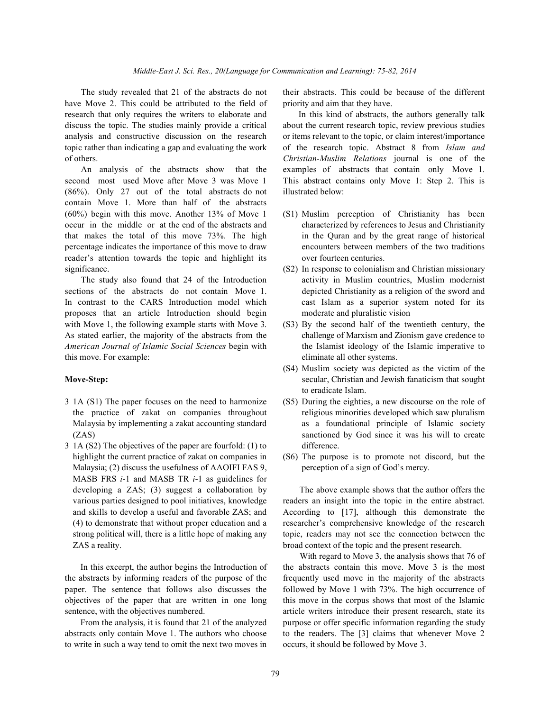have Move 2. This could be attributed to the field of priority and aim that they have. research that only requires the writers to elaborate and In this kind of abstracts, the authors generally talk discuss the topic. The studies mainly provide a critical about the current research topic, review previous studies analysis and constructive discussion on the research or items relevant to the topic, or claim interest/importance topic rather than indicating a gap and evaluating the work of the research topic. Abstract 8 from *Islam and* of others. *Christian-Muslim Relations* journal is one of the

second most used Move after Move 3 was Move 1 This abstract contains only Move 1: Step 2. This is (86%). Only 27 out of the total abstracts do not illustrated below: contain Move 1. More than half of the abstracts (60%) begin with this move. Another 13% of Move 1 (S1) Muslim perception of Christianity has been occur in the middle or at the end of the abstracts and characterized by references to Jesus and Christianity that makes the total of this move 73%. The high in the Quran and by the great range of historical percentage indicates the importance of this move to draw encounters between members of the two traditions reader's attention towards the topic and highlight its over fourteen centuries. significance. (S2) In response to colonialism and Christian missionary

sections of the abstracts do not contain Move 1. depicted Christianity as a religion of the sword and In contrast to the CARS Introduction model which cast Islam as a superior system noted for its proposes that an article Introduction should begin moderate and pluralistic vision with Move 1, the following example starts with Move 3. (S3) By the second half of the twentieth century, the As stated earlier, the majority of the abstracts from the challenge of Marxism and Zionism gave credence to *American Journal of Islamic Social Sciences* begin with the Islamist ideology of the Islamic imperative to this move. For example: eliminate all other systems.

- 3 1A (S1) The paper focuses on the need to harmonize (S5) During the eighties, a new discourse on the role of
- 3 1A (S2) The objectives of the paper are fourfold: (1) to difference. highlight the current practice of zakat on companies in (S6) The purpose is to promote not discord, but the Malaysia; (2) discuss the usefulness of AAOIFI FAS 9, perception of a sign of God's mercy. MASB FRS *i*-1 and MASB TR *i*-1 as guidelines for developing a ZAS; (3) suggest a collaboration by The above example shows that the author offers the ZAS a reality. broad context of the topic and the present research.

the abstracts by informing readers of the purpose of the frequently used move in the majority of the abstracts objectives of the paper that are written in one long this move in the corpus shows that most of the Islamic

abstracts only contain Move 1. The authors who choose to the readers. The [3] claims that whenever Move 2 to write in such a way tend to omit the next two moves in occurs, it should be followed by Move 3.

The study revealed that 21 of the abstracts do not their abstracts. This could be because of the different

An analysis of the abstracts show that the examples of abstracts that contain only Move 1.

- 
- The study also found that 24 of the Introduction activity in Muslim countries, Muslim modernist
	-
- **Move-Step:** secular, Christian and Jewish fanaticism that sought (S4) Muslim society was depicted as the victim of the to eradicate Islam.
	- the practice of zakat on companies throughout religious minorities developed which saw pluralism Malaysia by implementing a zakat accounting standard as a foundational principle of Islamic society (ZAS) sanctioned by God since it was his will to create
		-

various parties designed to pool initiatives, knowledge readers an insight into the topic in the entire abstract. and skills to develop a useful and favorable ZAS; and According to [17], although this demonstrate the (4) to demonstrate that without proper education and a researcher's comprehensive knowledge of the research strong political will, there is a little hope of making any topic, readers may not see the connection between the

In this excerpt, the author begins the Introduction of the abstracts contain this move. Move 3 is the most paper. The sentence that follows also discusses the followed by Move 1 with 73%. The high occurrence of sentence, with the objectives numbered.  $\blacksquare$  article writers introduce their present research, state its From the analysis, it is found that 21 of the analyzed purpose or offer specific information regarding the study With regard to Move 3, the analysis shows that 76 of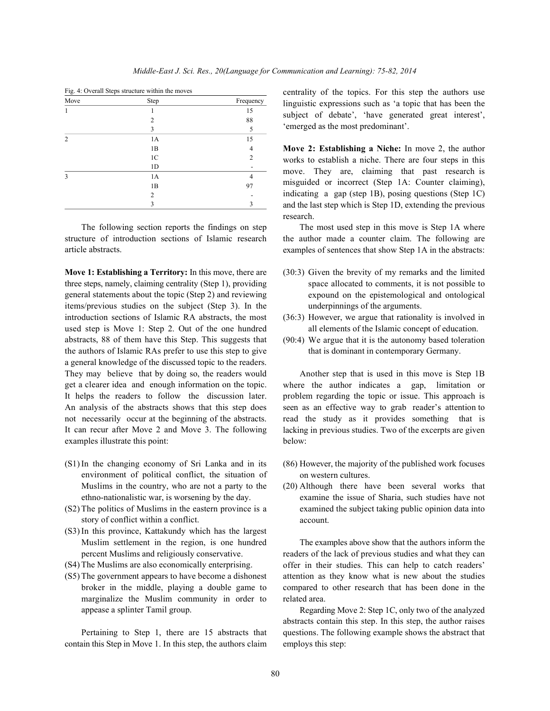| Move           | Step           | Frequency      |
|----------------|----------------|----------------|
|                |                | 15             |
|                | $\mathfrak{D}$ | 88             |
|                | 3              | 5              |
| $\overline{2}$ | 1A             | 15             |
|                | 1B             | 4              |
|                | 1 <sup>C</sup> | $\overline{c}$ |
|                | 1 <sub>D</sub> |                |
| 3              | 1A             |                |
|                | 1B             | 97             |
|                | $\mathfrak{D}$ |                |
|                | 3              | 3              |

Fig. 4: Overall Steps structure within the moves

The following section reports the findings on step structure of introduction sections of Islamic research article abstracts.

**Move 1: Establishing a Territory:** In this move, there are three steps, namely, claiming centrality (Step 1), providing general statements about the topic (Step 2) and reviewing items/previous studies on the subject (Step 3). In the introduction sections of Islamic RA abstracts, the most used step is Move 1: Step 2. Out of the one hundred abstracts, 88 of them have this Step. This suggests that the authors of Islamic RAs prefer to use this step to give a general knowledge of the discussed topic to the readers. They may believe that by doing so, the readers would get a clearer idea and enough information on the topic. It helps the readers to follow the discussion later. An analysis of the abstracts shows that this step does not necessarily occur at the beginning of the abstracts. It can recur after Move 2 and Move 3. The following examples illustrate this point:

- (S1) In the changing economy of Sri Lanka and in its environment of political conflict, the situation of Muslims in the country, who are not a party to the ethno-nationalistic war, is worsening by the day.
- (S2) The politics of Muslims in the eastern province is a story of conflict within a conflict.
- (S3) In this province, Kattakundy which has the largest Muslim settlement in the region, is one hundred percent Muslims and religiously conservative.
- (S4) The Muslims are also economically enterprising.
- (S5) The government appears to have become a dishonest broker in the middle, playing a double game to marginalize the Muslim community in order to appease a splinter Tamil group.

Pertaining to Step 1, there are 15 abstracts that contain this Step in Move 1. In this step, the authors claim centrality of the topics. For this step the authors use linguistic expressions such as 'a topic that has been the subject of debate', 'have generated great interest', 'emerged as the most predominant'.

**Move 2: Establishing a Niche:** In move 2, the author works to establish a niche. There are four steps in this move. They are, claiming that past research is misguided or incorrect (Step 1A: Counter claiming), indicating a gap (step 1B), posing questions (Step 1C) and the last step which is Step 1D, extending the previous research.

The most used step in this move is Step 1A where the author made a counter claim. The following are examples of sentences that show Step 1A in the abstracts:

- (30:3) Given the brevity of my remarks and the limited space allocated to comments, it is not possible to expound on the epistemological and ontological underpinnings of the arguments.
- (36:3) However, we argue that rationality is involved in all elements of the Islamic concept of education.
- (90:4) We argue that it is the autonomy based toleration that is dominant in contemporary Germany.

Another step that is used in this move is Step 1B where the author indicates a gap, limitation or problem regarding the topic or issue. This approach is seen as an effective way to grab reader's attention to read the study as it provides something that is lacking in previous studies. Two of the excerpts are given below:

- (86) However, the majority of the published work focuses on western cultures.
- (20) Although there have been several works that examine the issue of Sharia, such studies have not examined the subject taking public opinion data into account.

The examples above show that the authors inform the readers of the lack of previous studies and what they can offer in their studies. This can help to catch readers' attention as they know what is new about the studies compared to other research that has been done in the related area.

Regarding Move 2: Step 1C, only two of the analyzed abstracts contain this step. In this step, the author raises questions. The following example shows the abstract that employs this step: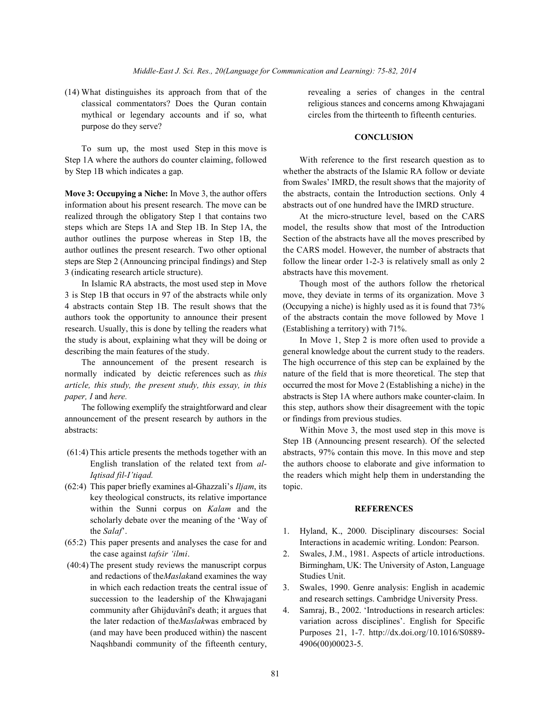(14) What distinguishes its approach from that of the revealing a series of changes in the central classical commentators? Does the Quran contain religious stances and concerns among Khwajagani mythical or legendary accounts and if so, what circles from the thirteenth to fifteenth centuries. purpose do they serve?

To sum up, the most used Step in this move is Step 1A where the authors do counter claiming, followed With reference to the first research question as to

information about his present research. The move can be abstracts out of one hundred have the IMRD structure. realized through the obligatory Step 1 that contains two At the micro-structure level, based on the CARS steps which are Steps 1A and Step 1B. In Step 1A, the model, the results show that most of the Introduction author outlines the purpose whereas in Step 1B, the Section of the abstracts have all the moves prescribed by author outlines the present research. Two other optional the CARS model. However, the number of abstracts that steps are Step 2 (Announcing principal findings) and Step follow the linear order 1-2-3 is relatively small as only 2 3 (indicating research article structure). abstracts have this movement.

3 is Step 1B that occurs in 97 of the abstracts while only move, they deviate in terms of its organization. Move 3 4 abstracts contain Step 1B. The result shows that the (Occupying a niche) is highly used as it is found that 73% authors took the opportunity to announce their present of the abstracts contain the move followed by Move 1 research. Usually, this is done by telling the readers what (Establishing a territory) with 71%. the study is about, explaining what they will be doing or In Move 1, Step 2 is more often used to provide a

normally indicated by deictic references such as *this* nature of the field that is more theoretical. The step that *article, this study, the present study, this essay, in this* occurred the most for Move 2 (Establishing a niche) in the *paper, I* and *here*. **abstracts** is Step 1A where authors make counter-claim. In

announcement of the present research by authors in the or findings from previous studies. abstracts: Within Move 3, the most used step in this move is

- 
- (62:4) This paper briefly examines al-Ghazzali's *Iljam*, its topic. key theological constructs, its relative importance within the Sunni corpus on *Kalam* and the **REFERENCES** scholarly debate over the meaning of the 'Way of
- the case against *tafsir 'ilmi*. 2. Swales, J.M., 1981. Aspects of article introductions.
- and redactions of the*Maslak*and examines the way Studies Unit. in which each redaction treats the central issue of 3. Swales, 1990. Genre analysis: English in academic Naqshbandi community of the fifteenth century, 4906(00)00023-5.

## **CONCLUSION**

by Step 1B which indicates a gap. whether the abstracts of the Islamic RA follow or deviate **Move 3: Occupying a Niche:** In Move 3, the author offers the abstracts, contain the Introduction sections. Only 4 from Swales' IMRD, the result shows that the majority of

In Islamic RA abstracts, the most used step in Move Though most of the authors follow the rhetorical

describing the main features of the study. general knowledge about the current study to the readers. The announcement of the present research is The high occurrence of this step can be explained by the The following exemplify the straightforward and clear this step, authors show their disagreement with the topic

 (61:4) This article presents the methods together with an abstracts, 97% contain this move. In this move and step English translation of the related text from *al-* the authors choose to elaborate and give information to *Iqtisad fil-I'tiqad.* the readers which might help them in understanding the Step 1B (Announcing present research). Of the selected

- the *Salaf*'. 1. Hyland, K., 2000. Disciplinary discourses: Social (65:2) This paper presents and analyses the case for and Interactions in academic writing. London: Pearson.
- (40:4) The present study reviews the manuscript corpus Birmingham, UK: The University of Aston, Language
	- succession to the leadership of the Khwajagani and research settings. Cambridge University Press.
	- community after Ghijduvânî's death; it argues that 4. Samraj, B., 2002. 'Introductions in research articles: the later redaction of the*Maslak*was embraced by variation across disciplines'. English for Specific (and may have been produced within) the nascent Purposes 21, 1-7. http://dx.doi.org/10.1016/S0889-